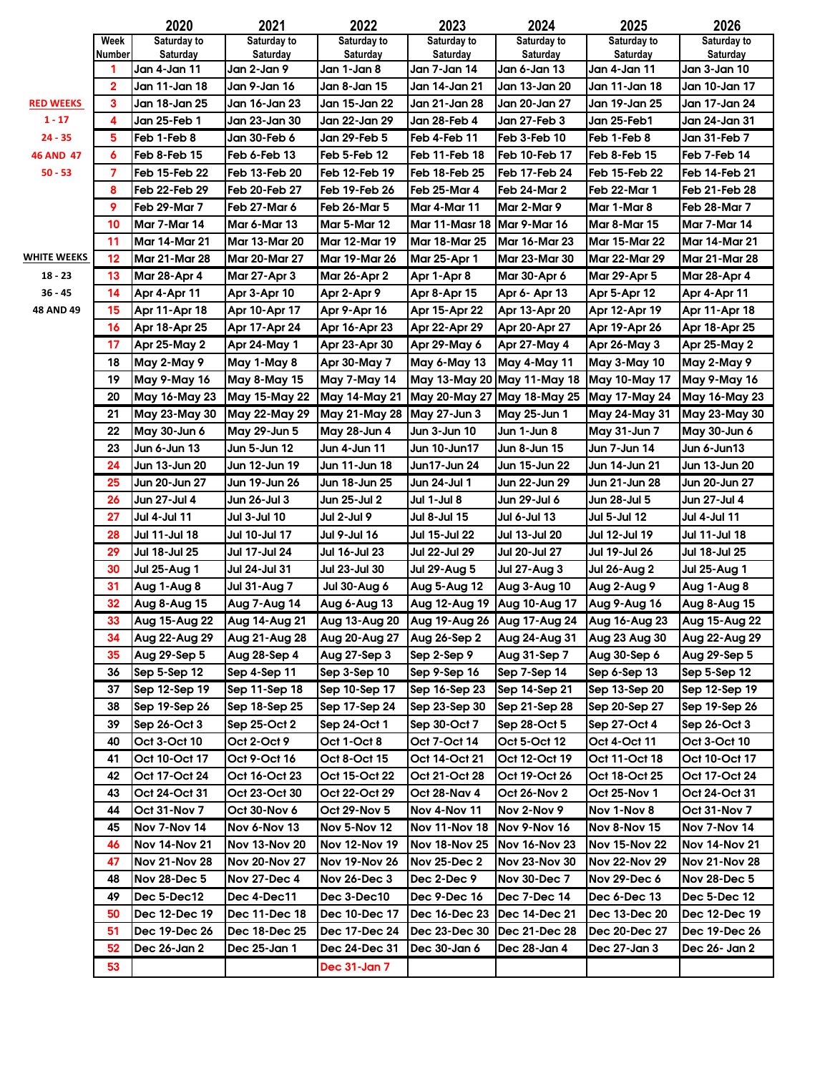|                              |        | 2020                          | 2021                        | 2022                        | 2023                          | 2024                          | 2025                          | 2026                          |
|------------------------------|--------|-------------------------------|-----------------------------|-----------------------------|-------------------------------|-------------------------------|-------------------------------|-------------------------------|
|                              | Week   | Saturday to                   | Saturday to                 | Saturday to                 | Saturday to                   | Saturday to                   | Saturday to                   | Saturday to                   |
|                              | Number | Saturday                      | Saturday                    | Saturday                    | Saturday                      | Saturday                      | Saturday                      | Saturday                      |
|                              | 1<br>2 | Jan 4-Jan 11<br>Jan 11-Jan 18 | Jan 2-Jan 9<br>Jan 9-Jan 16 | Jan 1-Jan 8<br>Jan 8-Jan 15 | Jan 7-Jan 14<br>Jan 14-Jan 21 | Jan 6-Jan 13<br>Jan 13-Jan 20 | Jan 4-Jan 11<br>Jan 11-Jan 18 | Jan 3-Jan 10<br>Jan 10-Jan 17 |
|                              | 3      | Jan 18-Jan 25                 | Jan 16-Jan 23               | Jan 15-Jan 22               | Jan 21-Jan 28                 | Jan 20-Jan 27                 | Jan 19-Jan 25                 | Jan 17-Jan 24                 |
| <b>RED WEEKS</b><br>$1 - 17$ | 4      | Jan 25-Feb 1                  | Jan 23-Jan 30               | Jan 22-Jan 29               | Jan 28-Feb 4                  | Jan 27-Feb 3                  | Jan 25-Feb1                   | Jan 24-Jan 31                 |
| $24 - 35$                    | 5      | Feb 1-Feb 8                   | Jan 30-Feb 6                | Jan 29-Feb 5                | Feb 4-Feb 11                  | Feb 3-Feb 10                  | Feb 1-Feb 8                   | Jan 31-Feb 7                  |
| <b>46 AND 47</b>             | 6      | Feb 8-Feb 15                  | Feb 6-Feb 13                | Feb 5-Feb 12                | <b>Feb 11-Feb 18</b>          | Feb 10-Feb 17                 | Feb 8-Feb 15                  | Feb 7-Feb 14                  |
| $50 - 53$                    | 7      | Feb 15-Feb 22                 | Feb 13-Feb 20               | Feb 12-Feb 19               | Feb 18-Feb 25                 | Feb 17-Feb 24                 | Feb 15-Feb 22                 | Feb 14-Feb 21                 |
|                              | 8      | Feb 22-Feb 29                 | Feb 20-Feb 27               | Feb 19-Feb 26               | Feb 25-Mar 4                  | Feb 24-Mar 2                  | Feb 22-Mar 1                  | Feb 21-Feb 28                 |
|                              | 9      | Feb 29-Mar 7                  | Feb 27-Mar 6                | <b>Feb 26-Mar 5</b>         | Mar 4-Mar 11                  | Mar 2-Mar 9                   | Mar 1-Mar 8                   | Feb 28-Mar 7                  |
|                              | 10     | <b>Mar 7-Mar 14</b>           | Mar 6-Mar 13                | <b>Mar 5-Mar 12</b>         | <b>Mar 11-Masr 18</b>         | Mar 9-Mar 16                  | <b>Mar 8-Mar 15</b>           | Mar 7-Mar 14                  |
|                              | 11     | <b>Mar 14-Mar 21</b>          | Mar 13-Mar 20               | <b>Mar 12-Mar 19</b>        | Mar 18-Mar 25                 | Mar 16-Mar 23                 | <b>Mar 15-Mar 22</b>          | <b>Mar 14-Mar 21</b>          |
| <b>WHITE WEEKS</b>           | 12     | <b>Mar 21-Mar 28</b>          | <b>Mar 20-Mar 27</b>        | <b>Mar 19-Mar 26</b>        | <b>Mar 25-Apr 1</b>           | Mar 23-Mar 30                 | <b>Mar 22-Mar 29</b>          | <b>Mar 21-Mar 28</b>          |
| $18 - 23$                    | 13     | <b>Mar 28-Apr 4</b>           | Mar 27-Apr 3                | <b>Mar 26-Apr 2</b>         | Apr 1-Apr 8                   | Mar 30-Apr 6                  | Mar 29-Apr 5                  | <b>Mar 28-Apr 4</b>           |
| $36 - 45$                    | 14     | Apr 4-Apr 11                  | Apr 3-Apr 10                | Apr 2-Apr 9                 | Apr 8-Apr 15                  | Apr 6- Apr 13                 | Apr 5-Apr 12                  | Apr 4-Apr 11                  |
| 48 AND 49                    | 15     | Apr 11-Apr 18                 | Apr 10-Apr 17               | Apr 9-Apr 16                | Apr 15-Apr 22                 | Apr 13-Apr 20                 | Apr 12-Apr 19                 | Apr 11-Apr 18                 |
|                              | 16     | Apr 18-Apr 25                 | Apr 17-Apr 24               | Apr 16-Apr 23               | Apr 22-Apr 29                 | Apr 20-Apr 27                 | Apr 19-Apr 26                 | Apr 18-Apr 25                 |
|                              | 17     | <b>Apr 25-May 2</b>           | Apr 24-May 1                | Apr 23-Apr 30               | Apr 29-May 6                  | Apr 27-May 4                  | Apr 26-May 3                  | <b>Apr 25-May 2</b>           |
|                              | 18     | May 2-May 9                   | May 1-May 8                 | Apr 30-May 7                | May 6-May 13                  | May 4-May 11                  | May 3-May 10                  | May 2-May 9                   |
|                              | 19     | May 9-May 16                  | May 8-May 15                | May 7-May 14                | May 13-May 20                 | May 11-May 18                 | May 10-May 17                 | May 9-May 16                  |
|                              | 20     | May 16-May 23                 | <b>May 15-May 22</b>        | <b>May 14-May 21</b>        | <b>May 20-May 27</b>          | <b>May 18-May 25</b>          | May 17-May 24                 | May 16-May 23                 |
|                              | 21     | May 23-May 30                 | <b>May 22-May 29</b>        | <b>May 21-May 28</b>        | May 27-Jun 3                  | May 25-Jun 1                  | May 24-May 31                 | May 23-May 30                 |
|                              | 22     | May 30-Jun 6                  | May 29-Jun 5                | May 28-Jun 4                | Jun 3-Jun 10                  | Jun 1-Jun 8                   | May 31-Jun 7                  | May 30-Jun 6                  |
|                              | 23     | Jun 6-Jun 13                  | Jun 5-Jun 12                | Jun 4-Jun 11                | Jun 10-Jun17                  | Jun 8-Jun 15                  | Jun 7-Jun 14                  | Jun 6-Jun13                   |
|                              | 24     | Jun 13-Jun 20                 | Jun 12-Jun 19               | Jun 11-Jun 18               | Jun17-Jun 24                  | Jun 15-Jun 22                 | Jun 14-Jun 21                 | Jun 13-Jun 20                 |
|                              | 25     | Jun 20-Jun 27                 | Jun 19-Jun 26               | Jun 18-Jun 25               | Jun 24-Jul 1                  | Jun 22-Jun 29                 | Jun 21-Jun 28                 | Jun 20-Jun 27                 |
|                              | 26     | Jun 27-Jul 4                  | Jun 26-Jul 3                | Jun 25-Jul 2                | Jul 1-Jul 8                   | Jun 29-Jul 6                  | Jun 28-Jul 5                  | Jun 27-Jul 4                  |
|                              | 27     | Jul 4-Jul 11                  | Jul 3-Jul 10                | Jul 2-Jul 9                 | Jul 8-Jul 15                  | Jul 6-Jul 13                  | Jul 5-Jul 12                  | Jul 4-Jul 11                  |
|                              | 28     | Jul 11-Jul 18                 | Jul 10-Jul 17               | Jul 9-Jul 16                | Jul 15-Jul 22                 | Jul 13-Jul 20                 | Jul 12-Jul 19                 | Jul 11-Jul 18                 |
|                              | 29     | <b>Jul 18-Jul 25</b>          | <b>Jul 17-Jul 24</b>        | Jul 16-Jul 23               | Jul 22-Jul 29                 | Jul 20-Jul 27                 | Jul 19-Jul 26                 | Jul 18-Jul 25                 |
|                              | 30     | <b>Jul 25-Aug 1</b>           | Jul 24-Jul 31               | Jul 23-Jul 30               | <b>Jul 29-Aug 5</b>           | <b>Jul 27-Aug 3</b>           | <b>Jul 26-Aug 2</b>           | <b>Jul 25-Aug 1</b>           |
|                              | 31     | Aug 1-Aug 8                   | <b>Jul 31-Aug 7</b>         | <b>Jul 30-Aug 6</b>         | Aug 5-Aug 12                  | Aug 3-Aug 10                  | Aug 2-Aug 9                   | Aug 1-Aug 8                   |
|                              | 32     | Aug 8-Aug 15                  | Aug 7-Aug 14                | Aug 6-Aug 13                | Aug 12-Aug 19                 | Aug 10-Aug 17                 | Aug 9-Aug 16                  | Aug 8-Aug 15                  |
|                              | 33     | Aug 15-Aug 22                 | Aug 14-Aug 21               | Aug 13-Aug 20               | Aug 19-Aug 26 Aug 17-Aug 24   |                               | Aug 16-Aug 23                 | Aug 15-Aug 22                 |
|                              | 34     | Aug 22-Aug 29                 | Aug 21-Aug 28               | Aug 20-Aug 27               | Aug 26-Sep 2                  | Aug 24-Aug 31                 | Aug 23 Aug 30                 | Aug 22-Aug 29                 |
|                              | 35     | Aug 29-Sep 5                  | Aug 28-Sep 4                | Aug 27-Sep 3                | Sep 2-Sep 9                   | Aug 31-Sep 7                  | Aug 30-Sep 6                  | Aug 29-Sep 5                  |
|                              | 36     | Sep 5-Sep 12                  | Sep 4-Sep 11                | Sep 3-Sep 10                | Sep 9-Sep 16                  | Sep 7-Sep 14                  | Sep 6-Sep 13                  | Sep 5-Sep 12                  |
|                              | 37     | Sep 12-Sep 19                 | Sep 11-Sep 18               | Sep 10-Sep 17               | Sep 16-Sep 23                 | Sep 14-Sep 21                 | Sep 13-Sep 20                 | Sep 12-Sep 19                 |
|                              | 38     | Sep 19-Sep 26                 | Sep 18-Sep 25               | Sep 17-Sep 24               | Sep 23-Sep 30                 | Sep 21-Sep 28                 | Sep 20-Sep 27                 | Sep 19-Sep 26                 |
|                              | 39     | Sep 26-Oct 3                  | Sep 25-Oct 2                | Sep 24-Oct 1                | Sep 30-Oct 7                  | Sep 28-Oct 5                  | Sep 27-Oct 4                  | Sep 26-Oct 3                  |
|                              | 40     | Oct 3-Oct 10                  | Oct 2-Oct 9                 | Oct 1-Oct 8                 | Oct 7-Oct 14                  | Oct 5-Oct 12                  | Oct 4-Oct 11                  | Oct 3-Oct 10                  |
|                              | 41     | Oct 10-Oct 17                 | Oct 9-Oct 16                | Oct 8-Oct 15                | Oct 14-Oct 21                 | Oct 12-Oct 19                 | Oct 11-Oct 18                 | Oct 10-Oct 17                 |
|                              | 42     | Oct 17-Oct 24                 | Oct 16-Oct 23               | Oct 15-Oct 22               | Oct 21-Oct 28                 | Oct 19-Oct 26                 | Oct 18-Oct 25                 | Oct 17-Oct 24                 |
|                              | 43     | Oct 24-Oct 31                 | Oct 23-Oct 30               | Oct 22-Oct 29               | Oct 28-Nav 4                  | Oct 26-Nov 2                  | Oct 25-Nov 1                  | Oct 24-Oct 31                 |
|                              | 44     | Oct 31-Nov 7                  | Oct 30-Nov 6                | Oct 29-Nov 5                | Nov 4-Nov 11                  | Nov 2-Nov 9                   | Nov 1-Nov 8                   | Oct 31-Nov 7                  |
|                              | 45     | Nov 7-Nov 14                  | Nov 6-Nov 13                | <b>Nov 5-Nov 12</b>         | <b>Nov 11-Nov 18</b>          | <b>Nov 9-Nov 16</b>           | <b>Nov 8-Nov 15</b>           | <b>Nov 7-Nov 14</b>           |
|                              | 46     | <b>Nov 14-Nov 21</b>          | <b>Nov 13-Nov 20</b>        | Nov 12-Nov 19               | <b>Nov 18-Nov 25</b>          | <b>Nov 16-Nov 23</b>          | <b>Nov 15-Nov 22</b>          | <b>Nov 14-Nov 21</b>          |
|                              | 47     | <b>Nov 21-Nov 28</b>          | <b>Nov 20-Nov 27</b>        | <b>Nov 19-Nov 26</b>        | Nov 25-Dec 2                  | Nov 23-Nov 30                 | <b>Nov 22-Nov 29</b>          | <b>Nov 21-Nov 28</b>          |
|                              | 48     | Nov 28-Dec 5                  | Nov 27-Dec 4                | Nov 26-Dec 3                | Dec 2-Dec 9                   | Nov 30-Dec 7                  | Nov 29-Dec 6                  | Nov 28-Dec 5                  |
|                              | 49     | Dec 5-Dec12                   | Dec 4-Dec11                 | Dec 3-Dec10                 | Dec 9-Dec 16                  | Dec 7-Dec 14                  | Dec 6-Dec 13                  | Dec 5-Dec 12                  |
|                              | 50     | Dec 12-Dec 19                 | Dec 11-Dec 18               | Dec 10-Dec 17               | Dec 16-Dec 23                 | Dec 14-Dec 21                 | Dec 13-Dec 20                 | Dec 12-Dec 19                 |
|                              | 51     | Dec 19-Dec 26                 | Dec 18-Dec 25               | Dec 17-Dec 24               | Dec 23-Dec 30                 | Dec 21-Dec 28                 | Dec 20-Dec 27                 | Dec 19-Dec 26                 |
|                              | 52     | Dec 26-Jan 2                  | Dec 25-Jan 1                | Dec 24-Dec 31               | Dec 30-Jan 6                  | Dec 28-Jan 4                  | Dec 27-Jan 3                  | Dec 26- Jan 2                 |
|                              | 53     |                               |                             | <b>Dec 31-Jan 7</b>         |                               |                               |                               |                               |